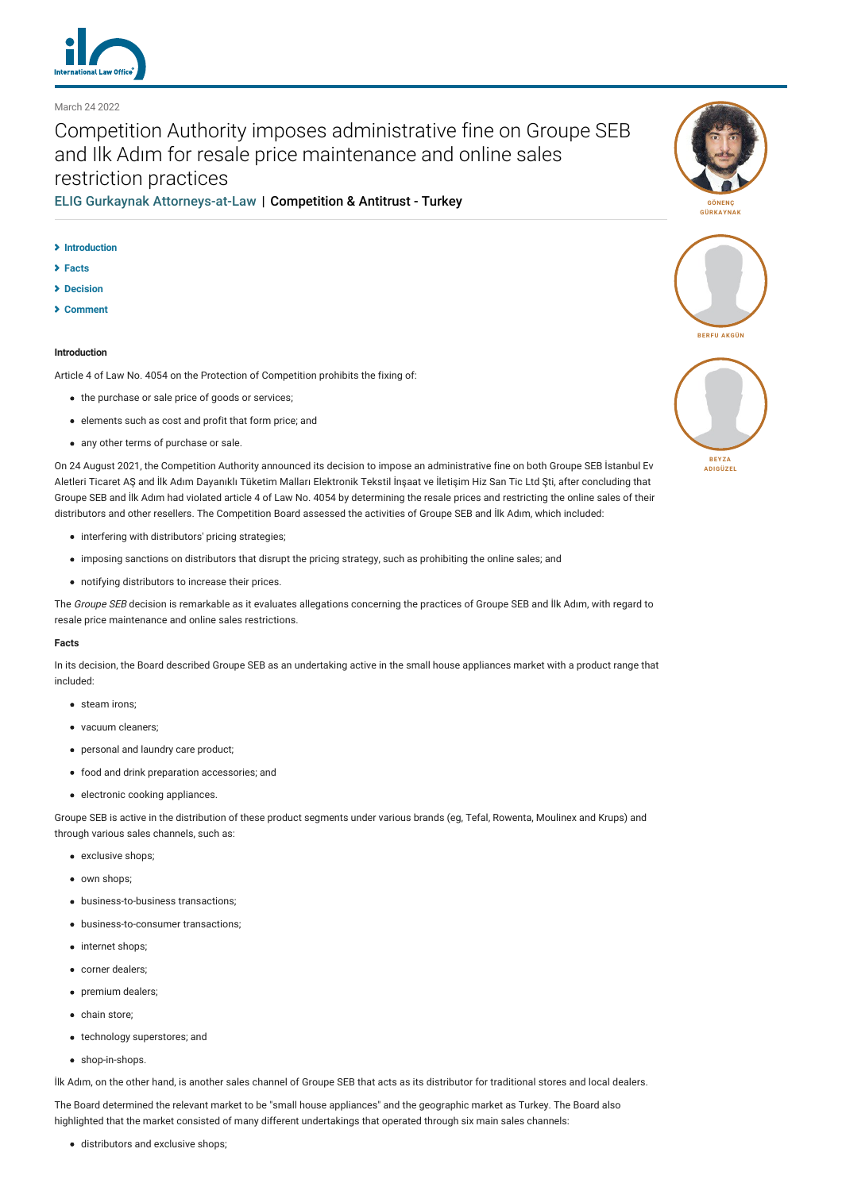

March 24 2022

# Competition Authority imposes administrative fine on Groupe SEB and Ilk Adım for resale price maintenance and online sales restriction practices

[ELIG Gurkaynak Attorneys-at-Law](http://lexology-legacy.lexology.svc.cluster.local/contributors/25827) | Competition & Antitrust - Turkey

## **[Introduction](#page-0-0)**

- **[Facts](#page-0-1)**
- **[Decision](#page-1-0)**
- **[Comment](#page-2-0)**

# <span id="page-0-0"></span>**Introduction**

Article 4 of Law No. 4054 on the Protection of Competition prohibits the fixing of:

- the purchase or sale price of goods or services;
- elements such as cost and profit that form price; and
- any other terms of purchase or sale.

On 24 August 2021, the Competition Authority announced its decision to impose an administrative fine on both Groupe SEB İstanbul Ev Aletleri Ticaret AŞ and İlk Adım Dayanıklı Tüketim Malları Elektronik Tekstil İnşaat ve İletişim Hiz San Tic Ltd Şti, after concluding that Groupe SEB and İlk Adım had violated article 4 of Law No. 4054 by determining the resale prices and restricting the online sales of their distributors and other resellers. The Competition Board assessed the activities of Groupe SEB and İlk Adım, which included:

- interfering with distributors' pricing strategies;
- imposing sanctions on distributors that disrupt the pricing strategy, such as prohibiting the online sales; and
- notifying distributors to increase their prices.

The Groupe SEB decision is remarkable as it evaluates allegations concerning the practices of Groupe SEB and İlk Adım, with regard to resale price maintenance and online sales restrictions.

# <span id="page-0-1"></span>**Facts**

In its decision, the Board described Groupe SEB as an undertaking active in the small house appliances market with a product range that included:

- steam irons;
- vacuum cleaners;
- personal and laundry care product;
- food and drink preparation accessories; and
- electronic cooking appliances.

Groupe SEB is active in the distribution of these product segments under various brands (eg, Tefal, Rowenta, Moulinex and Krups) and through various sales channels, such as:

- exclusive shops;
- $\bullet$  own shops;
- business-to-business transactions;
- business-to-consumer transactions;
- internet shops:
- corner dealers:
- premium dealers;
- chain store:
- technology superstores; and
- shop-in-shops.

İlk Adım, on the other hand, is another sales channel of Groupe SEB that acts as its distributor for traditional stores and local dealers.

The Board determined the relevant market to be "small house appliances" and the geographic market as Turkey. The Board also highlighted that the market consisted of many different undertakings that operated through six main sales channels:

distributors and exclusive shops;





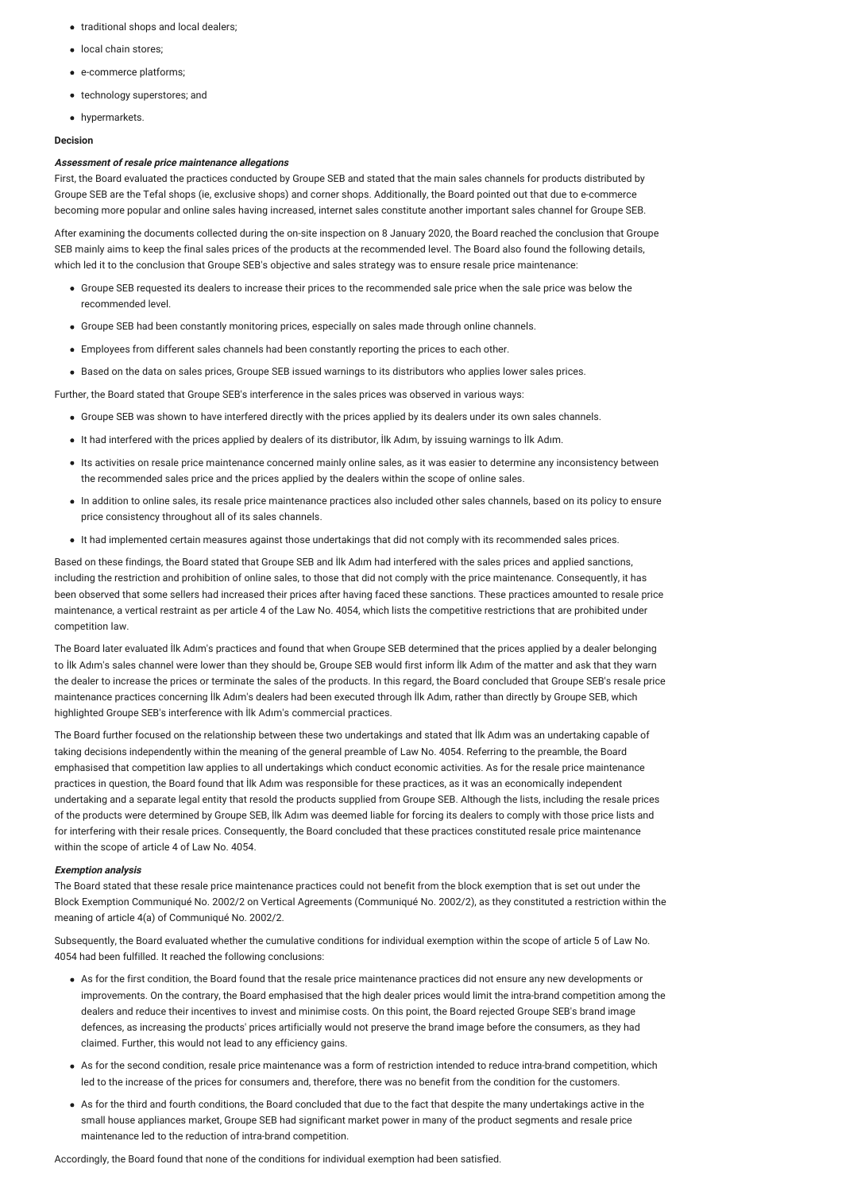- traditional shops and local dealers;
- **·** local chain stores:
- e-commerce platforms;
- technology superstores; and
- hypermarkets.

## <span id="page-1-0"></span>**Decision**

## **Assessment of resale price maintenance allegations**

First, the Board evaluated the practices conducted by Groupe SEB and stated that the main sales channels for products distributed by Groupe SEB are the Tefal shops (ie, exclusive shops) and corner shops. Additionally, the Board pointed out that due to e-commerce becoming more popular and online sales having increased, internet sales constitute another important sales channel for Groupe SEB.

After examining the documents collected during the on-site inspection on 8 January 2020, the Board reached the conclusion that Groupe SEB mainly aims to keep the final sales prices of the products at the recommended level. The Board also found the following details, which led it to the conclusion that Groupe SEB's objective and sales strategy was to ensure resale price maintenance:

- Groupe SEB requested its dealers to increase their prices to the recommended sale price when the sale price was below the recommended level.
- Groupe SEB had been constantly monitoring prices, especially on sales made through online channels.
- Employees from different sales channels had been constantly reporting the prices to each other.
- Based on the data on sales prices, Groupe SEB issued warnings to its distributors who applies lower sales prices.

Further, the Board stated that Groupe SEB's interference in the sales prices was observed in various ways:

- Groupe SEB was shown to have interfered directly with the prices applied by its dealers under its own sales channels.
- It had interfered with the prices applied by dealers of its distributor, İlk Adım, by issuing warnings to İlk Adım.
- Its activities on resale price maintenance concerned mainly online sales, as it was easier to determine any inconsistency between the recommended sales price and the prices applied by the dealers within the scope of online sales.
- In addition to online sales, its resale price maintenance practices also included other sales channels, based on its policy to ensure price consistency throughout all of its sales channels.
- It had implemented certain measures against those undertakings that did not comply with its recommended sales prices.

Based on these findings, the Board stated that Groupe SEB and İlk Adım had interfered with the sales prices and applied sanctions, including the restriction and prohibition of online sales, to those that did not comply with the price maintenance. Consequently, it has been observed that some sellers had increased their prices after having faced these sanctions. These practices amounted to resale price maintenance, a vertical restraint as per article 4 of the Law No. 4054, which lists the competitive restrictions that are prohibited under competition law.

The Board later evaluated İlk Adım's practices and found that when Groupe SEB determined that the prices applied by a dealer belonging to İlk Adım's sales channel were lower than they should be, Groupe SEB would first inform İlk Adım of the matter and ask that they warn the dealer to increase the prices or terminate the sales of the products. In this regard, the Board concluded that Groupe SEB's resale price maintenance practices concerning İlk Adım's dealers had been executed through İlk Adım, rather than directly by Groupe SEB, which highlighted Groupe SEB's interference with İlk Adım's commercial practices.

The Board further focused on the relationship between these two undertakings and stated that İlk Adım was an undertaking capable of taking decisions independently within the meaning of the general preamble of Law No. 4054. Referring to the preamble, the Board emphasised that competition law applies to all undertakings which conduct economic activities. As for the resale price maintenance practices in question, the Board found that İlk Adım was responsible for these practices, as it was an economically independent undertaking and a separate legal entity that resold the products supplied from Groupe SEB. Although the lists, including the resale prices of the products were determined by Groupe SEB, İlk Adım was deemed liable for forcing its dealers to comply with those price lists and for interfering with their resale prices. Consequently, the Board concluded that these practices constituted resale price maintenance within the scope of article 4 of Law No. 4054.

#### **Exemption analysis**

The Board stated that these resale price maintenance practices could not benefit from the block exemption that is set out under the Block Exemption Communiqué No. 2002/2 on Vertical Agreements (Communiqué No. 2002/2), as they constituted a restriction within the meaning of article 4(a) of Communiqué No. 2002/2.

Subsequently, the Board evaluated whether the cumulative conditions for individual exemption within the scope of article 5 of Law No. 4054 had been fulfilled. It reached the following conclusions:

- As for the first condition, the Board found that the resale price maintenance practices did not ensure any new developments or improvements. On the contrary, the Board emphasised that the high dealer prices would limit the intra-brand competition among the dealers and reduce their incentives to invest and minimise costs. On this point, the Board rejected Groupe SEB's brand image defences, as increasing the products' prices artificially would not preserve the brand image before the consumers, as they had claimed. Further, this would not lead to any efficiency gains.
- As for the second condition, resale price maintenance was a form of restriction intended to reduce intra-brand competition, which led to the increase of the prices for consumers and, therefore, there was no benefit from the condition for the customers.
- As for the third and fourth conditions, the Board concluded that due to the fact that despite the many undertakings active in the small house appliances market, Groupe SEB had significant market power in many of the product segments and resale price maintenance led to the reduction of intra-brand competition.

Accordingly, the Board found that none of the conditions for individual exemption had been satisfied.